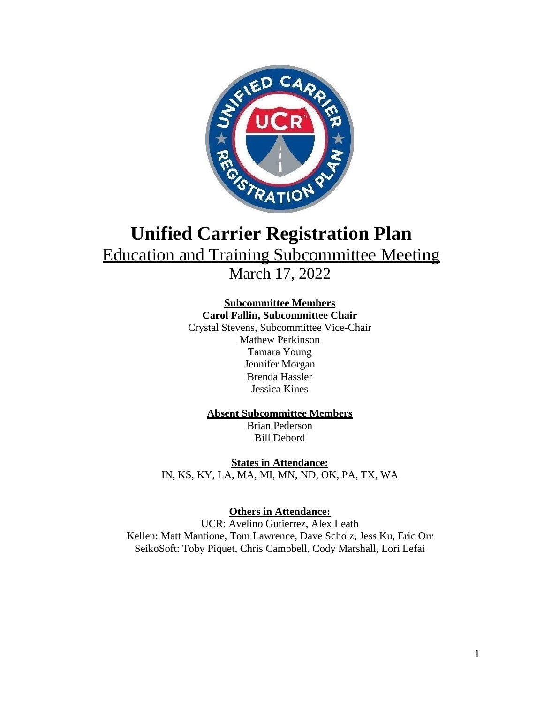

# **Unified Carrier Registration Plan** Education and Training Subcommittee Meeting March 17, 2022

## **Subcommittee Members**

**Carol Fallin, Subcommittee Chair** Crystal Stevens, Subcommittee Vice-Chair

Mathew Perkinson Tamara Young Jennifer Morgan Brenda Hassler Jessica Kines

### **Absent Subcommittee Members**

Brian Pederson Bill Debord

**States in Attendance:** IN, KS, KY, LA, MA, MI, MN, ND, OK, PA, TX, WA

**Others in Attendance:**

UCR: Avelino Gutierrez, Alex Leath Kellen: Matt Mantione, Tom Lawrence, Dave Scholz, Jess Ku, Eric Orr SeikoSoft: Toby Piquet, Chris Campbell, Cody Marshall, Lori Lefai